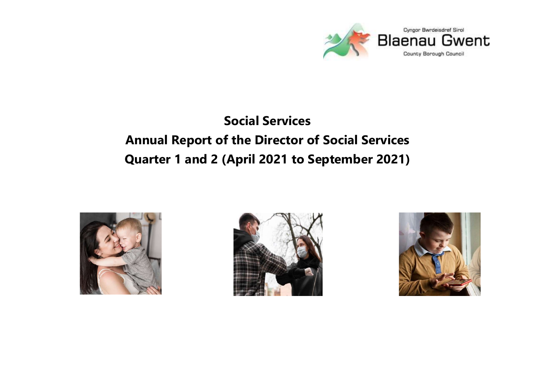

# Social Services Annual Report of the Director of Social Services Quarter 1 and 2 (April 2021 to September 2021)





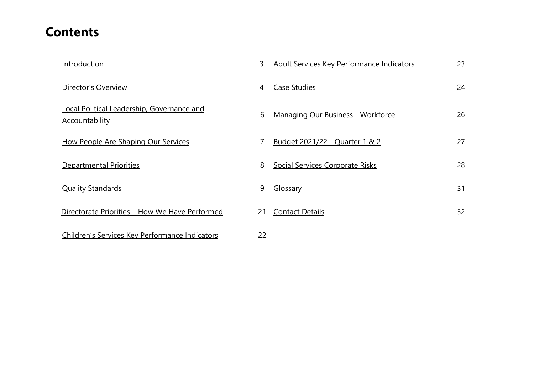### **Contents**

| Introduction                                                        | 3  | <b>Adult Services Key Performance Indicators</b> | 23 |
|---------------------------------------------------------------------|----|--------------------------------------------------|----|
| Director's Overview                                                 | 4  | <b>Case Studies</b>                              | 24 |
| Local Political Leadership, Governance and<br><b>Accountability</b> | 6  | <b>Managing Our Business - Workforce</b>         | 26 |
| <b>How People Are Shaping Our Services</b>                          |    | <u>Budget 2021/22 - Quarter 1 &amp; 2</u>        | 27 |
| Departmental Priorities                                             | 8  | Social Services Corporate Risks                  | 28 |
| <b>Quality Standards</b>                                            | 9  | Glossary                                         | 31 |
| Directorate Priorities – How We Have Performed                      | 21 | <b>Contact Details</b>                           | 32 |
| Children's Services Key Performance Indicators                      | 22 |                                                  |    |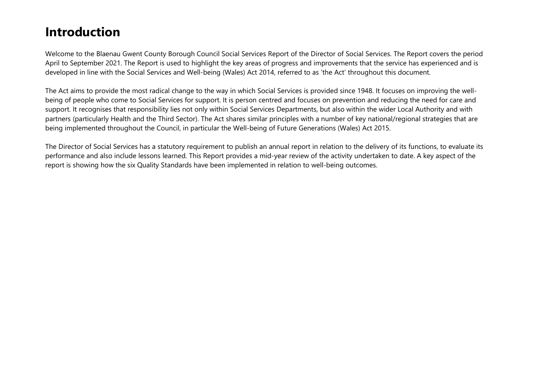### Introduction

Welcome to the Blaenau Gwent County Borough Council Social Services Report of the Director of Social Services. The Report covers the period April to September 2021. The Report is used to highlight the key areas of progress and improvements that the service has experienced and is developed in line with the Social Services and Well-being (Wales) Act 2014, referred to as 'the Act' throughout this document.

The Act aims to provide the most radical change to the way in which Social Services is provided since 1948. It focuses on improving the wellbeing of people who come to Social Services for support. It is person centred and focuses on prevention and reducing the need for care and support. It recognises that responsibility lies not only within Social Services Departments, but also within the wider Local Authority and with partners (particularly Health and the Third Sector). The Act shares similar principles with a number of key national/regional strategies that are being implemented throughout the Council, in particular the Well-being of Future Generations (Wales) Act 2015.

The Director of Social Services has a statutory requirement to publish an annual report in relation to the delivery of its functions, to evaluate its performance and also include lessons learned. This Report provides a mid-year review of the activity undertaken to date. A key aspect of the report is showing how the six Quality Standards have been implemented in relation to well-being outcomes.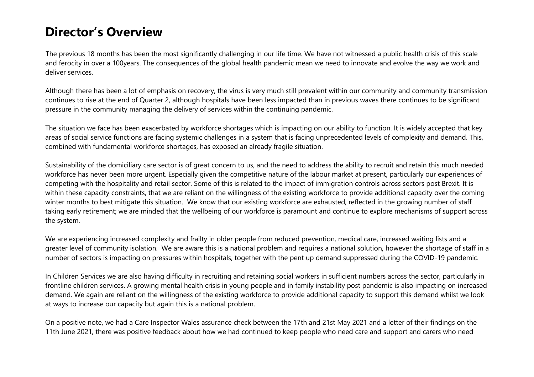### Director's Overview

The previous 18 months has been the most significantly challenging in our life time. We have not witnessed a public health crisis of this scale and ferocity in over a 100years. The consequences of the global health pandemic mean we need to innovate and evolve the way we work and deliver services.

Although there has been a lot of emphasis on recovery, the virus is very much still prevalent within our community and community transmission continues to rise at the end of Quarter 2, although hospitals have been less impacted than in previous waves there continues to be significant pressure in the community managing the delivery of services within the continuing pandemic.

The situation we face has been exacerbated by workforce shortages which is impacting on our ability to function. It is widely accepted that key areas of social service functions are facing systemic challenges in a system that is facing unprecedented levels of complexity and demand. This, combined with fundamental workforce shortages, has exposed an already fragile situation.

Sustainability of the domiciliary care sector is of great concern to us, and the need to address the ability to recruit and retain this much needed workforce has never been more urgent. Especially given the competitive nature of the labour market at present, particularly our experiences of competing with the hospitality and retail sector. Some of this is related to the impact of immigration controls across sectors post Brexit. It is within these capacity constraints, that we are reliant on the willingness of the existing workforce to provide additional capacity over the coming winter months to best mitigate this situation. We know that our existing workforce are exhausted, reflected in the growing number of staff taking early retirement; we are minded that the wellbeing of our workforce is paramount and continue to explore mechanisms of support across the system.

We are experiencing increased complexity and frailty in older people from reduced prevention, medical care, increased waiting lists and a greater level of community isolation. We are aware this is a national problem and requires a national solution, however the shortage of staff in a number of sectors is impacting on pressures within hospitals, together with the pent up demand suppressed during the COVID-19 pandemic.

In Children Services we are also having difficulty in recruiting and retaining social workers in sufficient numbers across the sector, particularly in frontline children services. A growing mental health crisis in young people and in family instability post pandemic is also impacting on increased demand. We again are reliant on the willingness of the existing workforce to provide additional capacity to support this demand whilst we look at ways to increase our capacity but again this is a national problem.

On a positive note, we had a Care Inspector Wales assurance check between the 17th and 21st May 2021 and a letter of their findings on the 11th June 2021, there was positive feedback about how we had continued to keep people who need care and support and carers who need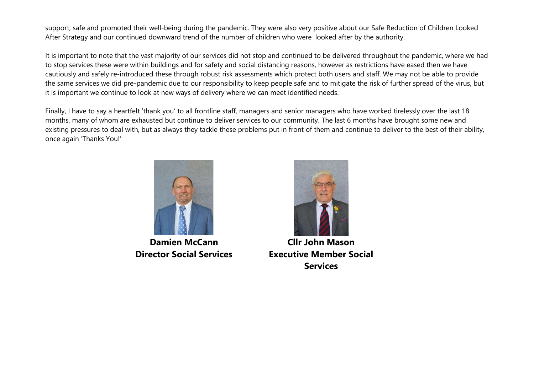support, safe and promoted their well-being during the pandemic. They were also very positive about our Safe Reduction of Children Looked After Strategy and our continued downward trend of the number of children who were looked after by the authority.

It is important to note that the vast majority of our services did not stop and continued to be delivered throughout the pandemic, where we had to stop services these were within buildings and for safety and social distancing reasons, however as restrictions have eased then we have cautiously and safely re-introduced these through robust risk assessments which protect both users and staff. We may not be able to provide the same services we did pre-pandemic due to our responsibility to keep people safe and to mitigate the risk of further spread of the virus, but it is important we continue to look at new ways of delivery where we can meet identified needs.

Finally, I have to say a heartfelt 'thank you' to all frontline staff, managers and senior managers who have worked tirelessly over the last 18 months, many of whom are exhausted but continue to deliver services to our community. The last 6 months have brought some new and existing pressures to deal with, but as always they tackle these problems put in front of them and continue to deliver to the best of their ability, once again 'Thanks You!'



Damien McCann Director Social Services



Cllr John Mason Executive Member Social **Services**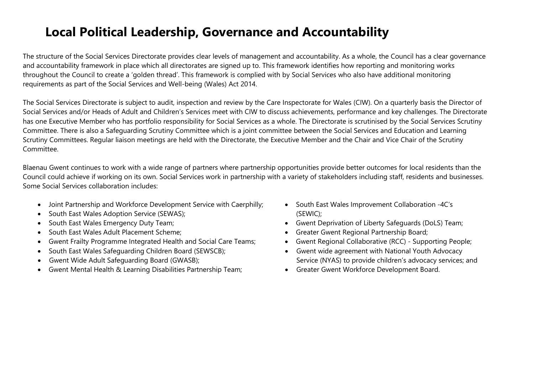## Local Political Leadership, Governance and Accountability

The structure of the Social Services Directorate provides clear levels of management and accountability. As a whole, the Council has a clear governance and accountability framework in place which all directorates are signed up to. This framework identifies how reporting and monitoring works throughout the Council to create a 'golden thread'. This framework is complied with by Social Services who also have additional monitoring requirements as part of the Social Services and Well-being (Wales) Act 2014.

The Social Services Directorate is subject to audit, inspection and review by the Care Inspectorate for Wales (CIW). On a quarterly basis the Director of Social Services and/or Heads of Adult and Children's Services meet with CIW to discuss achievements, performance and key challenges. The Directorate has one Executive Member who has portfolio responsibility for Social Services as a whole. The Directorate is scrutinised by the Social Services Scrutiny Committee. There is also a Safeguarding Scrutiny Committee which is a joint committee between the Social Services and Education and Learning Scrutiny Committees. Regular liaison meetings are held with the Directorate, the Executive Member and the Chair and Vice Chair of the Scrutiny Committee.

Blaenau Gwent continues to work with a wide range of partners where partnership opportunities provide better outcomes for local residents than the Council could achieve if working on its own. Social Services work in partnership with a variety of stakeholders including staff, residents and businesses. Some Social Services collaboration includes:

- Joint Partnership and Workforce Development Service with Caerphilly;
- South East Wales Adoption Service (SEWAS);
- South East Wales Emergency Duty Team;
- South East Wales Adult Placement Scheme;
- Gwent Frailty Programme Integrated Health and Social Care Teams;
- South East Wales Safeguarding Children Board (SEWSCB);
- Gwent Wide Adult Safeguarding Board (GWASB);
- Gwent Mental Health & Learning Disabilities Partnership Team;
- South East Wales Improvement Collaboration -4C's (SEWIC);
- Gwent Deprivation of Liberty Safeguards (DoLS) Team;
- Greater Gwent Regional Partnership Board;
- Gwent Regional Collaborative (RCC) Supporting People;
- Gwent wide agreement with National Youth Advocacy Service (NYAS) to provide children's advocacy services; and
- Greater Gwent Workforce Development Board.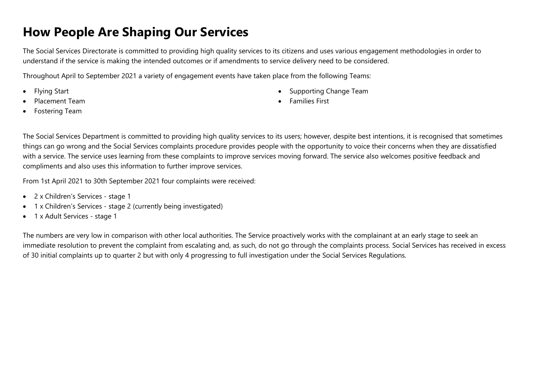### How People Are Shaping Our Services

The Social Services Directorate is committed to providing high quality services to its citizens and uses various engagement methodologies in order to understand if the service is making the intended outcomes or if amendments to service delivery need to be considered.

Throughout April to September 2021 a variety of engagement events have taken place from the following Teams:

- Flying Start
- Placement Team
- Fostering Team
- Supporting Change Team
- Families First

The Social Services Department is committed to providing high quality services to its users; however, despite best intentions, it is recognised that sometimes things can go wrong and the Social Services complaints procedure provides people with the opportunity to voice their concerns when they are dissatisfied with a service. The service uses learning from these complaints to improve services moving forward. The service also welcomes positive feedback and compliments and also uses this information to further improve services.

From 1st April 2021 to 30th September 2021 four complaints were received:

- 2 x Children's Services stage 1
- 1 x Children's Services stage 2 (currently being investigated)
- 1 x Adult Services stage 1

The numbers are very low in comparison with other local authorities. The Service proactively works with the complainant at an early stage to seek an immediate resolution to prevent the complaint from escalating and, as such, do not go through the complaints process. Social Services has received in excess of 30 initial complaints up to quarter 2 but with only 4 progressing to full investigation under the Social Services Regulations.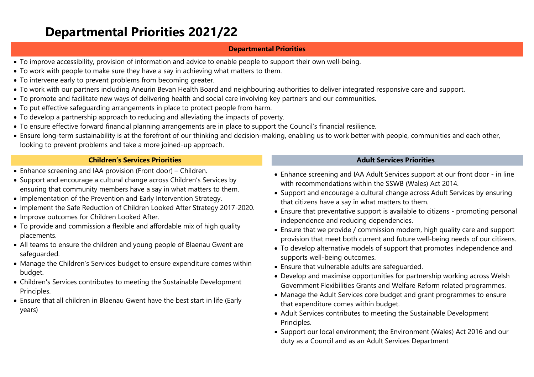### Departmental Priorities 2021/22

#### Departmental Priorities

- To improve accessibility, provision of information and advice to enable people to support their own well-being.
- To work with people to make sure they have a say in achieving what matters to them.
- To intervene early to prevent problems from becoming greater.
- To work with our partners including Aneurin Bevan Health Board and neighbouring authorities to deliver integrated responsive care and support.
- To promote and facilitate new ways of delivering health and social care involving key partners and our communities.
- To put effective safeguarding arrangements in place to protect people from harm.
- To develop a partnership approach to reducing and alleviating the impacts of poverty.
- To ensure effective forward financial planning arrangements are in place to support the Council's financial resilience.
- Ensure long-term sustainability is at the forefront of our thinking and decision-making, enabling us to work better with people, communities and each other, looking to prevent problems and take a more joined-up approach.

#### Children's Services Priorities Adult Services Priorities

- Enhance screening and IAA provision (Front door) Children.
- Support and encourage a cultural change across Children's Services by ensuring that community members have a say in what matters to them.
- Implementation of the Prevention and Early Intervention Strategy.
- Implement the Safe Reduction of Children Looked After Strategy 2017-2020.
- Improve outcomes for Children Looked After.
- To provide and commission a flexible and affordable mix of high quality placements.
- All teams to ensure the children and young people of Blaenau Gwent are safeguarded.
- Manage the Children's Services budget to ensure expenditure comes within budget.
- Children's Services contributes to meeting the Sustainable Development Principles.
- Ensure that all children in Blaenau Gwent have the best start in life (Early years)

- Enhance screening and IAA Adult Services support at our front door in line with recommendations within the SSWB (Wales) Act 2014.
- Support and encourage a cultural change across Adult Services by ensuring that citizens have a say in what matters to them.
- Ensure that preventative support is available to citizens promoting personal independence and reducing dependencies.
- Ensure that we provide / commission modern, high quality care and support provision that meet both current and future well-being needs of our citizens.
- To develop alternative models of support that promotes independence and supports well-being outcomes.
- Ensure that vulnerable adults are safeguarded.
- Develop and maximise opportunities for partnership working across Welsh Government Flexibilities Grants and Welfare Reform related programmes.
- Manage the Adult Services core budget and grant programmes to ensure that expenditure comes within budget.
- Adult Services contributes to meeting the Sustainable Development Principles.
- Support our local environment; the Environment (Wales) Act 2016 and our duty as a Council and as an Adult Services Department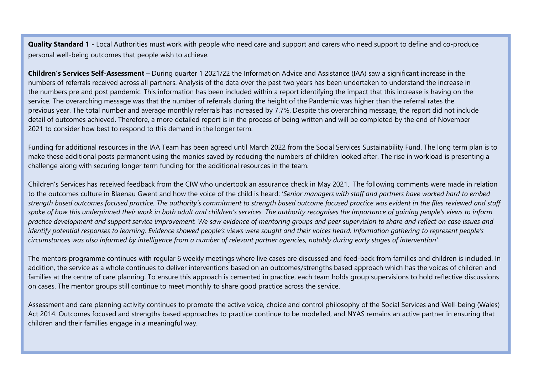**Quality Standard 1** - Local Authorities must work with people who need care and support and carers who need support to define and co-produce personal well-being outcomes that people wish to achieve.

Children's Services Self-Assessment – During quarter 1 2021/22 the Information Advice and Assistance (IAA) saw a significant increase in the numbers of referrals received across all partners. Analysis of the data over the past two years has been undertaken to understand the increase in the numbers pre and post pandemic. This information has been included within a report identifying the impact that this increase is having on the service. The overarching message was that the number of referrals during the height of the Pandemic was higher than the referral rates the previous year. The total number and average monthly referrals has increased by 7.7%. Despite this overarching message, the report did not include detail of outcomes achieved. Therefore, a more detailed report is in the process of being written and will be completed by the end of November 2021 to consider how best to respond to this demand in the longer term.

Funding for additional resources in the IAA Team has been agreed until March 2022 from the Social Services Sustainability Fund. The long term plan is to make these additional posts permanent using the monies saved by reducing the numbers of children looked after. The rise in workload is presenting a challenge along with securing longer term funding for the additional resources in the team.

Children's Services has received feedback from the CIW who undertook an assurance check in May 2021. The following comments were made in relation to the outcomes culture in Blaenau Gwent and how the voice of the child is heard: 'Senior managers with staff and partners have worked hard to embed strength based outcomes focused practice. The authority's commitment to strength based outcome focused practice was evident in the files reviewed and staff spoke of how this underpinned their work in both adult and children's services. The authority recoanises the importance of aaining people's views to inform practice development and support service improvement. We saw evidence of mentoring groups and peer supervision to share and reflect on case issues and identify potential responses to learning. Evidence showed people's views were sought and their voices heard. Information gathering to represent people's circumstances was also informed by intelligence from a number of relevant partner agencies, notably during early stages of intervention'.

The mentors programme continues with regular 6 weekly meetings where live cases are discussed and feed-back from families and children is included. In addition, the service as a whole continues to deliver interventions based on an outcomes/strengths based approach which has the voices of children and families at the centre of care planning. To ensure this approach is cemented in practice, each team holds group supervisions to hold reflective discussions on cases. The mentor groups still continue to meet monthly to share good practice across the service.

Assessment and care planning activity continues to promote the active voice, choice and control philosophy of the Social Services and Well-being (Wales) Act 2014. Outcomes focused and strengths based approaches to practice continue to be modelled, and NYAS remains an active partner in ensuring that children and their families engage in a meaningful way.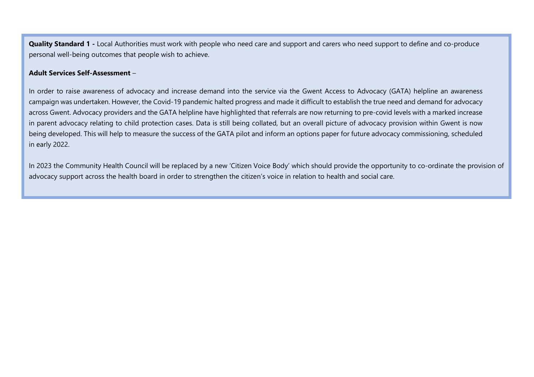Quality Standard 1 - Local Authorities must work with people who need care and support and carers who need support to define and co-produce personal well-being outcomes that people wish to achieve.

#### Adult Services Self-Assessment –

In order to raise awareness of advocacy and increase demand into the service via the Gwent Access to Advocacy (GATA) helpline an awareness campaign was undertaken. However, the Covid-19 pandemic halted progress and made it difficult to establish the true need and demand for advocacy across Gwent. Advocacy providers and the GATA helpline have highlighted that referrals are now returning to pre-covid levels with a marked increase in parent advocacy relating to child protection cases. Data is still being collated, but an overall picture of advocacy provision within Gwent is now being developed. This will help to measure the success of the GATA pilot and inform an options paper for future advocacy commissioning, scheduled in early 2022.

In 2023 the Community Health Council will be replaced by a new 'Citizen Voice Body' which should provide the opportunity to co-ordinate the provision of advocacy support across the health board in order to strengthen the citizen's voice in relation to health and social care.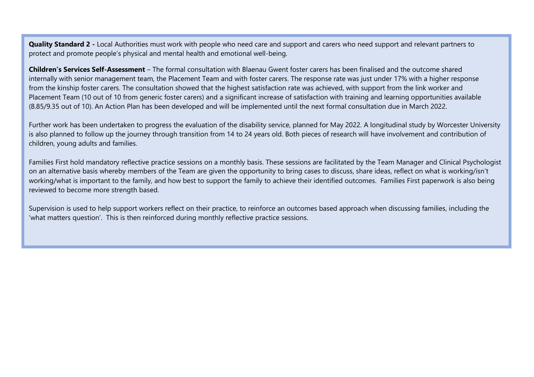Quality Standard 2 - Local Authorities must work with people who need care and support and carers who need support and relevant partners to protect and promote people's physical and mental health and emotional well-being.

Children's Services Self-Assessment – The formal consultation with Blaenau Gwent foster carers has been finalised and the outcome shared internally with senior management team, the Placement Team and with foster carers. The response rate was just under 17% with a higher response from the kinship foster carers. The consultation showed that the highest satisfaction rate was achieved, with support from the link worker and Placement Team (10 out of 10 from generic foster carers) and a significant increase of satisfaction with training and learning opportunities available (8.85/9.35 out of 10). An Action Plan has been developed and will be implemented until the next formal consultation due in March 2022.

Further work has been undertaken to progress the evaluation of the disability service, planned for May 2022. A longitudinal study by Worcester University is also planned to follow up the journey through transition from 14 to 24 years old. Both pieces of research will have involvement and contribution of children, young adults and families.

Families First hold mandatory reflective practice sessions on a monthly basis. These sessions are facilitated by the Team Manager and Clinical Psychologist on an alternative basis whereby members of the Team are given the opportunity to bring cases to discuss, share ideas, reflect on what is working/isn't working/what is important to the family, and how best to support the family to achieve their identified outcomes. Families First paperwork is also being reviewed to become more strength based.

Supervision is used to help support workers reflect on their practice, to reinforce an outcomes based approach when discussing families, including the 'what matters question'. This is then reinforced during monthly reflective practice sessions.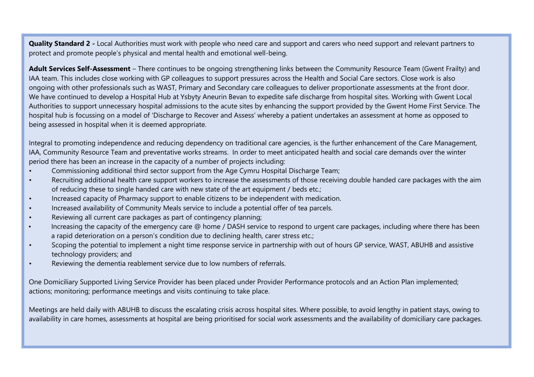Quality Standard 2 - Local Authorities must work with people who need care and support and carers who need support and relevant partners to protect and promote people's physical and mental health and emotional well-being.

Adult Services Self-Assessment – There continues to be ongoing strengthening links between the Community Resource Team (Gwent Frailty) and IAA team. This includes close working with GP colleagues to support pressures across the Health and Social Care sectors. Close work is also ongoing with other professionals such as WAST, Primary and Secondary care colleagues to deliver proportionate assessments at the front door. We have continued to develop a Hospital Hub at Ysbyty Aneurin Bevan to expedite safe discharge from hospital sites. Working with Gwent Local Authorities to support unnecessary hospital admissions to the acute sites by enhancing the support provided by the Gwent Home First Service. The hospital hub is focussing on a model of 'Discharge to Recover and Assess' whereby a patient undertakes an assessment at home as opposed to being assessed in hospital when it is deemed appropriate.

Integral to promoting independence and reducing dependency on traditional care agencies, is the further enhancement of the Care Management, IAA, Community Resource Team and preventative works streams. In order to meet anticipated health and social care demands over the winter period there has been an increase in the capacity of a number of projects including:

- Commissioning additional third sector support from the Age Cymru Hospital Discharge Team;
- Recruiting additional health care support workers to increase the assessments of those receiving double handed care packages with the aim of reducing these to single handed care with new state of the art equipment / beds etc.;
- Increased capacity of Pharmacy support to enable citizens to be independent with medication.
- Increased availability of Community Meals service to include a potential offer of tea parcels.
- Reviewing all current care packages as part of contingency planning;
- Increasing the capacity of the emergency care @ home / DASH service to respond to urgent care packages, including where there has been a rapid deterioration on a person's condition due to declining health, carer stress etc.;
- Scoping the potential to implement a night time response service in partnership with out of hours GP service, WAST, ABUHB and assistive technology providers; and
- Reviewing the dementia reablement service due to low numbers of referrals.

One Domiciliary Supported Living Service Provider has been placed under Provider Performance protocols and an Action Plan implemented; actions; monitoring; performance meetings and visits continuing to take place.

Meetings are held daily with ABUHB to discuss the escalating crisis across hospital sites. Where possible, to avoid lengthy in patient stays, owing to availability in care homes, assessments at hospital are being prioritised for social work assessments and the availability of domiciliary care packages.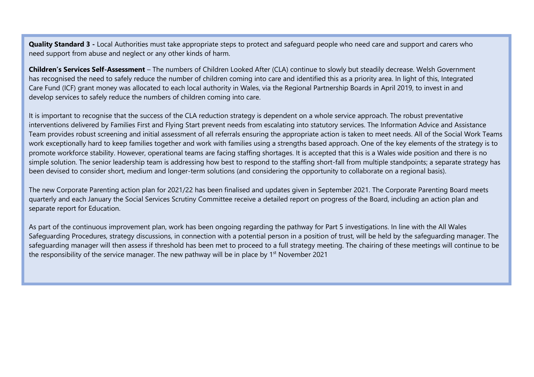Quality Standard 3 - Local Authorities must take appropriate steps to protect and safeguard people who need care and support and carers who need support from abuse and neglect or any other kinds of harm.

Children's Services Self-Assessment – The numbers of Children Looked After (CLA) continue to slowly but steadily decrease. Welsh Government has recognised the need to safely reduce the number of children coming into care and identified this as a priority area. In light of this, Integrated Care Fund (ICF) grant money was allocated to each local authority in Wales, via the Regional Partnership Boards in April 2019, to invest in and develop services to safely reduce the numbers of children coming into care.

It is important to recognise that the success of the CLA reduction strategy is dependent on a whole service approach. The robust preventative interventions delivered by Families First and Flying Start prevent needs from escalating into statutory services. The Information Advice and Assistance Team provides robust screening and initial assessment of all referrals ensuring the appropriate action is taken to meet needs. All of the Social Work Teams work exceptionally hard to keep families together and work with families using a strengths based approach. One of the key elements of the strategy is to promote workforce stability. However, operational teams are facing staffing shortages. It is accepted that this is a Wales wide position and there is no simple solution. The senior leadership team is addressing how best to respond to the staffing short-fall from multiple standpoints; a separate strategy has been devised to consider short, medium and longer-term solutions (and considering the opportunity to collaborate on a regional basis).

The new Corporate Parenting action plan for 2021/22 has been finalised and updates given in September 2021. The Corporate Parenting Board meets quarterly and each January the Social Services Scrutiny Committee receive a detailed report on progress of the Board, including an action plan and separate report for Education.

As part of the continuous improvement plan, work has been ongoing regarding the pathway for Part 5 investigations. In line with the All Wales Safeguarding Procedures, strategy discussions, in connection with a potential person in a position of trust, will be held by the safeguarding manager. The safeguarding manager will then assess if threshold has been met to proceed to a full strategy meeting. The chairing of these meetings will continue to be the responsibility of the service manager. The new pathway will be in place by 1<sup>st</sup> November 2021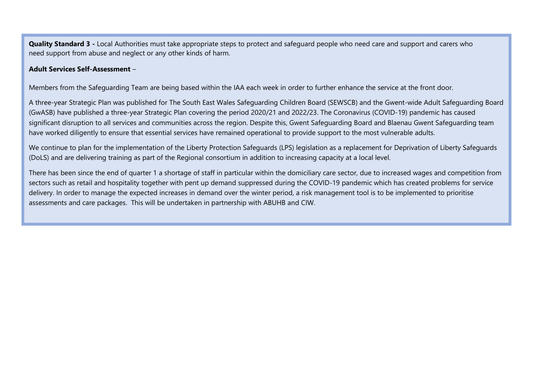**Quality Standard 3** - Local Authorities must take appropriate steps to protect and safeguard people who need care and support and carers who need support from abuse and neglect or any other kinds of harm.

#### Adult Services Self-Assessment –

Members from the Safeguarding Team are being based within the IAA each week in order to further enhance the service at the front door.

A three-year Strategic Plan was published for The South East Wales Safeguarding Children Board (SEWSCB) and the Gwent-wide Adult Safeguarding Board (GwASB) have published a three-year Strategic Plan covering the period 2020/21 and 2022/23. The Coronavirus (COVID-19) pandemic has caused significant disruption to all services and communities across the region. Despite this, Gwent Safeguarding Board and Blaenau Gwent Safeguarding team have worked diligently to ensure that essential services have remained operational to provide support to the most vulnerable adults.

We continue to plan for the implementation of the Liberty Protection Safeguards (LPS) legislation as a replacement for Deprivation of Liberty Safeguards (DoLS) and are delivering training as part of the Regional consortium in addition to increasing capacity at a local level.

There has been since the end of quarter 1 a shortage of staff in particular within the domiciliary care sector, due to increased wages and competition from sectors such as retail and hospitality together with pent up demand suppressed during the COVID-19 pandemic which has created problems for service delivery. In order to manage the expected increases in demand over the winter period, a risk management tool is to be implemented to prioritise assessments and care packages. This will be undertaken in partnership with ABUHB and CIW.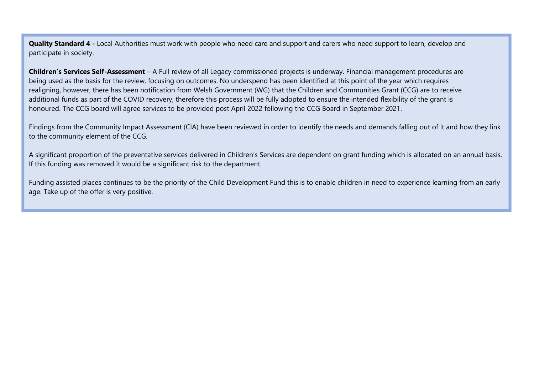Quality Standard 4 - Local Authorities must work with people who need care and support and carers who need support to learn, develop and participate in society.

Children's Services Self-Assessment - A Full review of all Legacy commissioned projects is underway. Financial management procedures are being used as the basis for the review, focusing on outcomes. No underspend has been identified at this point of the year which requires realigning, however, there has been notification from Welsh Government (WG) that the Children and Communities Grant (CCG) are to receive additional funds as part of the COVID recovery, therefore this process will be fully adopted to ensure the intended flexibility of the grant is honoured. The CCG board will agree services to be provided post April 2022 following the CCG Board in September 2021.

Findings from the Community Impact Assessment (CIA) have been reviewed in order to identify the needs and demands falling out of it and how they link to the community element of the CCG.

A significant proportion of the preventative services delivered in Children's Services are dependent on grant funding which is allocated on an annual basis. If this funding was removed it would be a significant risk to the department.

Funding assisted places continues to be the priority of the Child Development Fund this is to enable children in need to experience learning from an early age. Take up of the offer is very positive.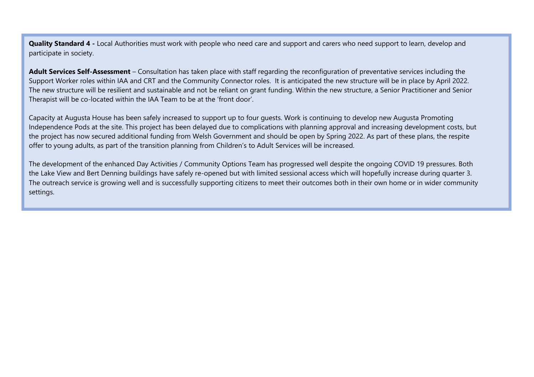**Quality Standard 4 -** Local Authorities must work with people who need care and support and carers who need support to learn, develop and participate in society.

Adult Services Self-Assessment – Consultation has taken place with staff regarding the reconfiguration of preventative services including the Support Worker roles within IAA and CRT and the Community Connector roles. It is anticipated the new structure will be in place by April 2022. The new structure will be resilient and sustainable and not be reliant on grant funding. Within the new structure, a Senior Practitioner and Senior Therapist will be co-located within the IAA Team to be at the 'front door'.

Capacity at Augusta House has been safely increased to support up to four guests. Work is continuing to develop new Augusta Promoting Independence Pods at the site. This project has been delayed due to complications with planning approval and increasing development costs, but the project has now secured additional funding from Welsh Government and should be open by Spring 2022. As part of these plans, the respite offer to young adults, as part of the transition planning from Children's to Adult Services will be increased.

The development of the enhanced Day Activities / Community Options Team has progressed well despite the ongoing COVID 19 pressures. Both the Lake View and Bert Denning buildings have safely re-opened but with limited sessional access which will hopefully increase during quarter 3. The outreach service is growing well and is successfully supporting citizens to meet their outcomes both in their own home or in wider community settings.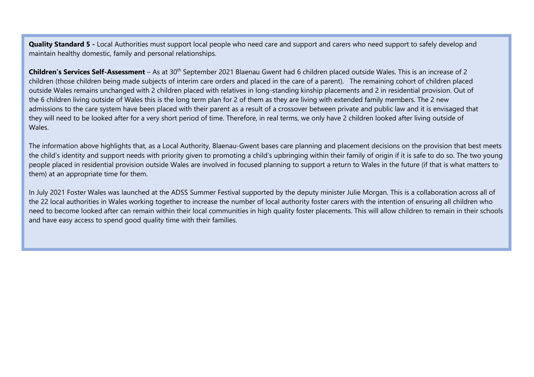**Quality Standard 5** - Local Authorities must support local people who need care and support and carers who need support to safely develop and maintain healthy domestic, family and personal relationships.

Children's Services Self-Assessment – As at 30<sup>th</sup> September 2021 Blaenau Gwent had 6 children placed outside Wales. This is an increase of 2 children (those children being made subjects of interim care orders and placed in the care of a parent). The remaining cohort of children placed outside Wales remains unchanged with 2 children placed with relatives in long-standing kinship placements and 2 in residential provision. Out of the 6 children living outside of Wales this is the long term plan for 2 of them as they are living with extended family members. The 2 new admissions to the care system have been placed with their parent as a result of a crossover between private and public law and it is envisaged that they will need to be looked after for a very short period of time. Therefore, in real terms, we only have 2 children looked after living outside of Wales.

The information above highlights that, as a Local Authority, Blaenau-Gwent bases care planning and placement decisions on the provision that best meets the child's identity and support needs with priority given to promoting a child's upbringing within their family of origin if it is safe to do so. The two young people placed in residential provision outside Wales are involved in focused planning to support a return to Wales in the future (if that is what matters to them) at an appropriate time for them.

In July 2021 Foster Wales was launched at the ADSS Summer Festival supported by the deputy minister Julie Morgan. This is a collaboration across all of the 22 local authorities in Wales working together to increase the number of local authority foster carers with the intention of ensuring all children who need to become looked after can remain within their local communities in high quality foster placements. This will allow children to remain in their schools and have easy access to spend good quality time with their families.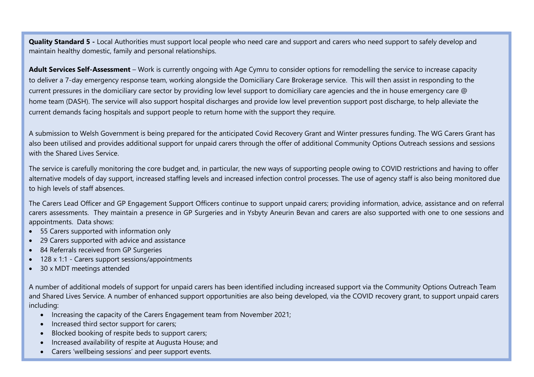Quality Standard 5 - Local Authorities must support local people who need care and support and carers who need support to safely develop and maintain healthy domestic, family and personal relationships.

Adult Services Self-Assessment – Work is currently ongoing with Age Cymru to consider options for remodelling the service to increase capacity to deliver a 7-day emergency response team, working alongside the Domiciliary Care Brokerage service. This will then assist in responding to the current pressures in the domiciliary care sector by providing low level support to domiciliary care agencies and the in house emergency care @ home team (DASH). The service will also support hospital discharges and provide low level prevention support post discharge, to help alleviate the current demands facing hospitals and support people to return home with the support they require.

A submission to Welsh Government is being prepared for the anticipated Covid Recovery Grant and Winter pressures funding. The WG Carers Grant has also been utilised and provides additional support for unpaid carers through the offer of additional Community Options Outreach sessions and sessions with the Shared Lives Service

The service is carefully monitoring the core budget and, in particular, the new ways of supporting people owing to COVID restrictions and having to offer alternative models of day support, increased staffing levels and increased infection control processes. The use of agency staff is also being monitored due to high levels of staff absences.

The Carers Lead Officer and GP Engagement Support Officers continue to support unpaid carers; providing information, advice, assistance and on referral carers assessments. They maintain a presence in GP Surgeries and in Ysbyty Aneurin Bevan and carers are also supported with one to one sessions and appointments. Data shows:

- 55 Carers supported with information only
- 29 Carers supported with advice and assistance
- 84 Referrals received from GP Surgeries
- 128 x 1:1 Carers support sessions/appointments
- 30 x MDT meetings attended

A number of additional models of support for unpaid carers has been identified including increased support via the Community Options Outreach Team and Shared Lives Service. A number of enhanced support opportunities are also being developed, via the COVID recovery grant, to support unpaid carers including:

- Increasing the capacity of the Carers Engagement team from November 2021;
- Increased third sector support for carers;
- Blocked booking of respite beds to support carers;
- Increased availability of respite at Augusta House; and
- Carers 'wellbeing sessions' and peer support events.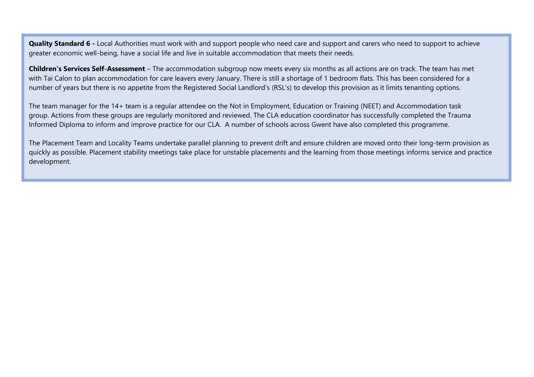Quality Standard 6 - Local Authorities must work with and support people who need care and support and carers who need to support to achieve greater economic well-being, have a social life and live in suitable accommodation that meets their needs.

Children's Services Self-Assessment – The accommodation subgroup now meets every six months as all actions are on track. The team has met with Tai Calon to plan accommodation for care leavers every January. There is still a shortage of 1 bedroom flats. This has been considered for a number of years but there is no appetite from the Registered Social Landlord's (RSL's) to develop this provision as it limits tenanting options.

The team manager for the 14+ team is a regular attendee on the Not in Employment, Education or Training (NEET) and Accommodation task group. Actions from these groups are regularly monitored and reviewed. The CLA education coordinator has successfully completed the Trauma Informed Diploma to inform and improve practice for our CLA. A number of schools across Gwent have also completed this programme.

The Placement Team and Locality Teams undertake parallel planning to prevent drift and ensure children are moved onto their long-term provision as quickly as possible. Placement stability meetings take place for unstable placements and the learning from those meetings informs service and practice development.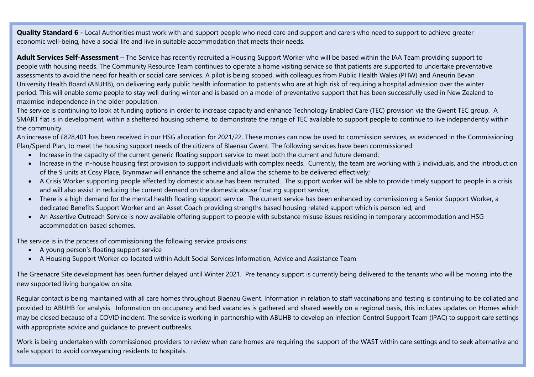**Quality Standard 6 -** Local Authorities must work with and support people who need care and support and carers who need to support to achieve greater economic well-being, have a social life and live in suitable accommodation that meets their needs.

Adult Services Self-Assessment – The Service has recently recruited a Housing Support Worker who will be based within the IAA Team providing support to people with housing needs. The Community Resource Team continues to operate a home visiting service so that patients are supported to undertake preventative assessments to avoid the need for health or social care services. A pilot is being scoped, with colleagues from Public Health Wales (PHW) and Aneurin Bevan University Health Board (ABUHB), on delivering early public health information to patients who are at high risk of requiring a hospital admission over the winter period. This will enable some people to stay well during winter and is based on a model of preventative support that has been successfully used in New Zealand to maximise independence in the older population.

The service is continuing to look at funding options in order to increase capacity and enhance Technology Enabled Care (TEC) provision via the Gwent TEC group. A SMART flat is in development, within a sheltered housing scheme, to demonstrate the range of TEC available to support people to continue to live independently within the community.

An increase of £828,401 has been received in our HSG allocation for 2021/22. These monies can now be used to commission services, as evidenced in the Commissioning Plan/Spend Plan, to meet the housing support needs of the citizens of Blaenau Gwent. The following services have been commissioned:

- Increase in the capacity of the current generic floating support service to meet both the current and future demand;
- Increase in the in-house housing first provision to support individuals with complex needs. Currently, the team are working with 5 individuals, and the introduction of the 9 units at Cosy Place, Brynmawr will enhance the scheme and allow the scheme to be delivered effectively;
- A Crisis Worker supporting people affected by domestic abuse has been recruited. The support worker will be able to provide timely support to people in a crisis and will also assist in reducing the current demand on the domestic abuse floating support service;
- There is a high demand for the mental health floating support service. The current service has been enhanced by commissioning a Senior Support Worker, a dedicated Benefits Support Worker and an Asset Coach providing strengths based housing related support which is person led; and
- An Assertive Outreach Service is now available offering support to people with substance misuse issues residing in temporary accommodation and HSG accommodation based schemes.

The service is in the process of commissioning the following service provisions:

- A young person's floating support service
- A Housing Support Worker co-located within Adult Social Services Information, Advice and Assistance Team

The Greenacre Site development has been further delayed until Winter 2021. Pre tenancy support is currently being delivered to the tenants who will be moving into the new supported living bungalow on site.

Regular contact is being maintained with all care homes throughout Blaenau Gwent. Information in relation to staff vaccinations and testing is continuing to be collated and provided to ABUHB for analysis. Information on occupancy and bed vacancies is gathered and shared weekly on a regional basis, this includes updates on Homes which may be closed because of a COVID incident. The service is working in partnership with ABUHB to develop an Infection Control Support Team (IPAC) to support care settings with appropriate advice and guidance to prevent outbreaks.

Work is being undertaken with commissioned providers to review when care homes are requiring the support of the WAST within care settings and to seek alternative and safe support to avoid conveyancing residents to hospitals.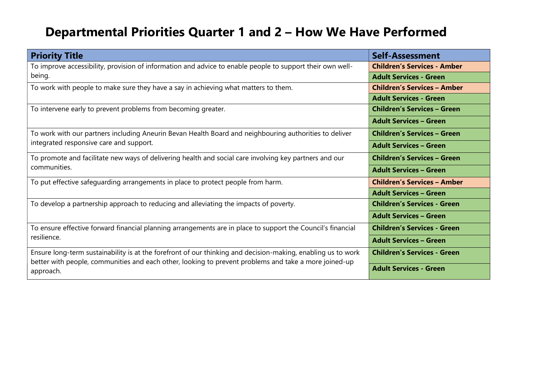# Departmental Priorities Quarter 1 and 2 – How We Have Performed

| <b>Priority Title</b>                                                                                              | Self-Assessment                    |  |  |  |
|--------------------------------------------------------------------------------------------------------------------|------------------------------------|--|--|--|
| To improve accessibility, provision of information and advice to enable people to support their own well-          | <b>Children's Services - Amber</b> |  |  |  |
| being.                                                                                                             | <b>Adult Services - Green</b>      |  |  |  |
| To work with people to make sure they have a say in achieving what matters to them.                                | <b>Children's Services - Amber</b> |  |  |  |
|                                                                                                                    | <b>Adult Services - Green</b>      |  |  |  |
| To intervene early to prevent problems from becoming greater.                                                      | <b>Children's Services - Green</b> |  |  |  |
|                                                                                                                    | <b>Adult Services - Green</b>      |  |  |  |
| To work with our partners including Aneurin Bevan Health Board and neighbouring authorities to deliver             | <b>Children's Services - Green</b> |  |  |  |
| integrated responsive care and support.                                                                            | <b>Adult Services - Green</b>      |  |  |  |
| To promote and facilitate new ways of delivering health and social care involving key partners and our             | <b>Children's Services - Green</b> |  |  |  |
| communities.                                                                                                       | <b>Adult Services - Green</b>      |  |  |  |
| To put effective safeguarding arrangements in place to protect people from harm.                                   | <b>Children's Services - Amber</b> |  |  |  |
|                                                                                                                    | <b>Adult Services - Green</b>      |  |  |  |
| To develop a partnership approach to reducing and alleviating the impacts of poverty.                              | <b>Children's Services - Green</b> |  |  |  |
|                                                                                                                    | <b>Adult Services - Green</b>      |  |  |  |
| To ensure effective forward financial planning arrangements are in place to support the Council's financial        | <b>Children's Services - Green</b> |  |  |  |
| resilience.                                                                                                        | <b>Adult Services - Green</b>      |  |  |  |
| Ensure long-term sustainability is at the forefront of our thinking and decision-making, enabling us to work       | <b>Children's Services - Green</b> |  |  |  |
| better with people, communities and each other, looking to prevent problems and take a more joined-up<br>approach. | <b>Adult Services - Green</b>      |  |  |  |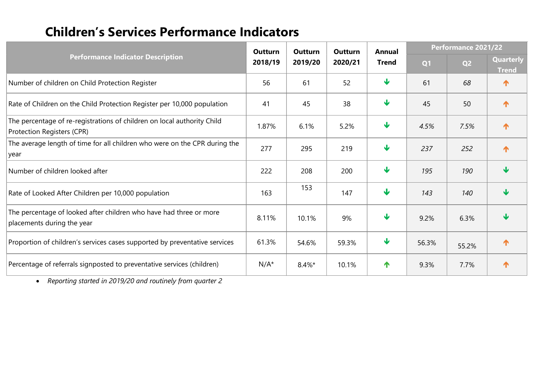### Children's Services Performance Indicators

|                                                                                                       |                    | Outturn  | Outturn | <b>Annual</b>           | Performance 2021/22 |                |                           |
|-------------------------------------------------------------------------------------------------------|--------------------|----------|---------|-------------------------|---------------------|----------------|---------------------------|
| <b>Performance Indicator Description</b>                                                              | Outturn<br>2018/19 | 2019/20  | 2020/21 | <b>Trend</b>            | Q <sub>1</sub>      | Q <sub>2</sub> | Quarterly<br><b>Trend</b> |
| Number of children on Child Protection Register                                                       | 56                 | 61       | 52      | $\overline{\mathbf{v}}$ | 61                  | 68             | ↑                         |
| Rate of Children on the Child Protection Register per 10,000 population                               |                    | 45       | 38      | $\overline{\mathbf{v}}$ | 45                  | 50             | 个                         |
| The percentage of re-registrations of children on local authority Child<br>Protection Registers (CPR) |                    | 6.1%     | 5.2%    | $\overline{\mathbf{v}}$ | 4.5%                | 7.5%           | 个                         |
| The average length of time for all children who were on the CPR during the<br>year                    |                    | 295      | 219     | $\overline{\mathbf{V}}$ | 237                 | 252            | 个                         |
| Number of children looked after                                                                       |                    | 208      | 200     | $\mathbf \cdot$         | 195                 | 190            | Ψ                         |
| Rate of Looked After Children per 10,000 population                                                   |                    | 153      | 147     | $\sqrt{2}$              | 143                 | 140            | ψ                         |
| The percentage of looked after children who have had three or more<br>placements during the year      |                    | 10.1%    | 9%      | $\mathbf \cdot$         | 9.2%                | 6.3%           | ψ                         |
| Proportion of children's services cases supported by preventative services                            | 61.3%              | 54.6%    | 59.3%   | $\overline{\mathbf{V}}$ | 56.3%               | 55.2%          | ↑                         |
| Percentage of referrals signposted to preventative services (children)                                | $N/A^*$            | $8.4\%*$ | 10.1%   | 个                       | 9.3%                | 7.7%           | ↑                         |

Reporting started in 2019/20 and routinely from quarter 2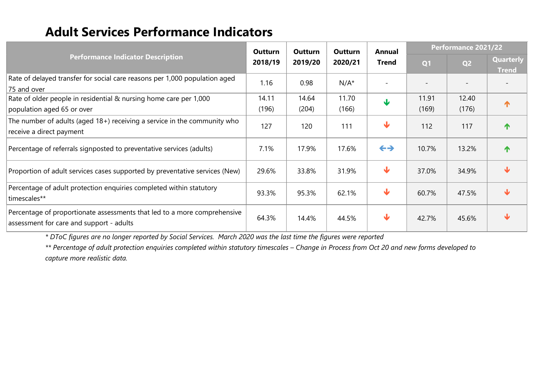### Adult Services Performance Indicators

|                                                                                                                      |                                                                                             | Outturn | Outturn      | <b>Annual</b>           | Performance 2021/22 |                           |                  |
|----------------------------------------------------------------------------------------------------------------------|---------------------------------------------------------------------------------------------|---------|--------------|-------------------------|---------------------|---------------------------|------------------|
|                                                                                                                      | <b>Outturn</b><br><b>Performance Indicator Description</b><br>2018/19<br>2020/21<br>2019/20 |         | <b>Trend</b> | Q <sub>1</sub>          | Q <sub>2</sub>      | Quarterly<br><b>Trend</b> |                  |
| Rate of delayed transfer for social care reasons per 1,000 population aged<br>75 and over                            | 1.16                                                                                        | 0.98    | $N/A^*$      |                         |                     |                           |                  |
| Rate of older people in residential & nursing home care per 1,000                                                    | 14.11                                                                                       | 14.64   | 11.70        | $\overline{\mathbf{V}}$ | 11.91               | 12.40                     | $\mathbf \Phi$   |
| population aged 65 or over                                                                                           | (196)                                                                                       | (204)   | (166)        |                         | (169)               | (176)                     |                  |
| The number of adults (aged 18+) receiving a service in the community who<br>receive a direct payment                 | 127                                                                                         | 120     | 111          | $\blacklozenge$         | 112                 | 117                       |                  |
| Percentage of referrals signposted to preventative services (adults)                                                 | 7.1%                                                                                        | 17.9%   | 17.6%        | $\leftrightarrow$       | 10.7%               | 13.2%                     | $\blacktriangle$ |
| Proportion of adult services cases supported by preventative services (New)                                          | 29.6%                                                                                       | 33.8%   | 31.9%        | $\overline{\mathbf{v}}$ | 37.0%               | 34.9%                     | Ψ                |
| Percentage of adult protection enquiries completed within statutory<br>timescales**                                  | 93.3%                                                                                       | 95.3%   | 62.1%        | $\blacklozenge$         | 60.7%               | 47.5%                     | ₩                |
| Percentage of proportionate assessments that led to a more comprehensive<br>assessment for care and support - adults | 64.3%                                                                                       | 14.4%   | 44.5%        | $\overline{\mathbf{v}}$ | 42.7%               | 45.6%                     | ₩                |

\* DToC figures are no longer reported by Social Services. March 2020 was the last time the figures were reported

\*\* Percentage of adult protection enquiries completed within statutory timescales – Change in Process from Oct 20 and new forms developed to capture more realistic data.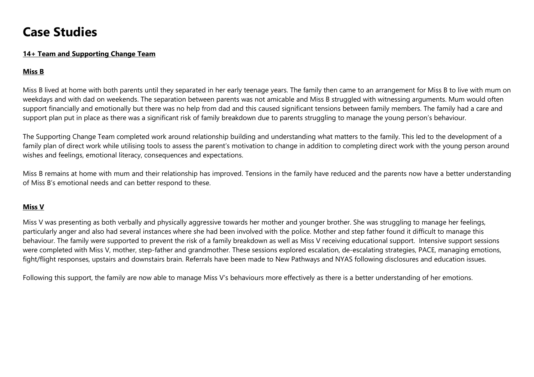### Case Studies

#### 14+ Team and Supporting Change Team

#### Miss B

Miss B lived at home with both parents until they separated in her early teenage years. The family then came to an arrangement for Miss B to live with mum on weekdays and with dad on weekends. The separation between parents was not amicable and Miss B struggled with witnessing arguments. Mum would often support financially and emotionally but there was no help from dad and this caused significant tensions between family members. The family had a care and support plan put in place as there was a significant risk of family breakdown due to parents struggling to manage the young person's behaviour.

The Supporting Change Team completed work around relationship building and understanding what matters to the family. This led to the development of a family plan of direct work while utilising tools to assess the parent's motivation to change in addition to completing direct work with the young person around wishes and feelings, emotional literacy, consequences and expectations.

Miss B remains at home with mum and their relationship has improved. Tensions in the family have reduced and the parents now have a better understanding of Miss B's emotional needs and can better respond to these.

#### Miss V

Miss V was presenting as both verbally and physically aggressive towards her mother and younger brother. She was struggling to manage her feelings, particularly anger and also had several instances where she had been involved with the police. Mother and step father found it difficult to manage this behaviour. The family were supported to prevent the risk of a family breakdown as well as Miss V receiving educational support. Intensive support sessions were completed with Miss V, mother, step-father and grandmother. These sessions explored escalation, de-escalating strategies, PACE, managing emotions, fight/flight responses, upstairs and downstairs brain. Referrals have been made to New Pathways and NYAS following disclosures and education issues.

Following this support, the family are now able to manage Miss V's behaviours more effectively as there is a better understanding of her emotions.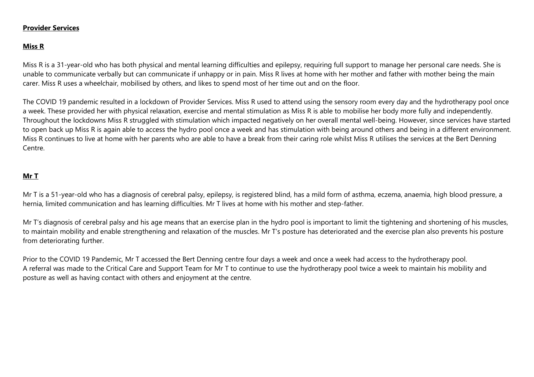#### Provider Services

#### Miss R

Miss R is a 31-year-old who has both physical and mental learning difficulties and epilepsy, requiring full support to manage her personal care needs. She is unable to communicate verbally but can communicate if unhappy or in pain. Miss R lives at home with her mother and father with mother being the main carer. Miss R uses a wheelchair, mobilised by others, and likes to spend most of her time out and on the floor.

The COVID 19 pandemic resulted in a lockdown of Provider Services. Miss R used to attend using the sensory room every day and the hydrotherapy pool once a week. These provided her with physical relaxation, exercise and mental stimulation as Miss R is able to mobilise her body more fully and independently. Throughout the lockdowns Miss R struggled with stimulation which impacted negatively on her overall mental well-being. However, since services have started to open back up Miss R is again able to access the hydro pool once a week and has stimulation with being around others and being in a different environment. Miss R continues to live at home with her parents who are able to have a break from their caring role whilst Miss R utilises the services at the Bert Denning Centre.

#### Mr T

Mr T is a 51-year-old who has a diagnosis of cerebral palsy, epilepsy, is registered blind, has a mild form of asthma, eczema, anaemia, high blood pressure, a hernia, limited communication and has learning difficulties. Mr T lives at home with his mother and step-father.

Mr T's diagnosis of cerebral palsy and his age means that an exercise plan in the hydro pool is important to limit the tightening and shortening of his muscles, to maintain mobility and enable strengthening and relaxation of the muscles. Mr T's posture has deteriorated and the exercise plan also prevents his posture from deteriorating further.

Prior to the COVID 19 Pandemic, Mr T accessed the Bert Denning centre four days a week and once a week had access to the hydrotherapy pool. A referral was made to the Critical Care and Support Team for Mr T to continue to use the hydrotherapy pool twice a week to maintain his mobility and posture as well as having contact with others and enjoyment at the centre.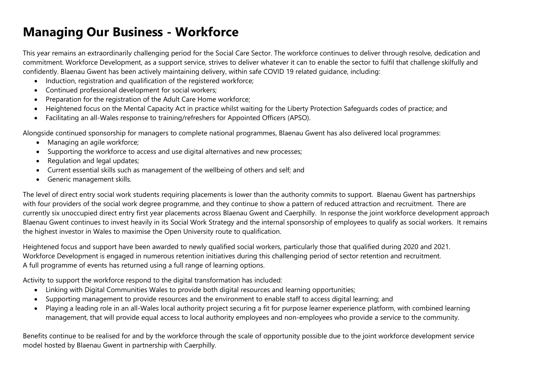## Managing Our Business - Workforce

This year remains an extraordinarily challenging period for the Social Care Sector. The workforce continues to deliver through resolve, dedication and commitment. Workforce Development, as a support service, strives to deliver whatever it can to enable the sector to fulfil that challenge skilfully and confidently. Blaenau Gwent has been actively maintaining delivery, within safe COVID 19 related guidance, including:

- Induction, registration and qualification of the registered workforce;
- Continued professional development for social workers;
- Preparation for the registration of the Adult Care Home workforce;
- Heightened focus on the Mental Capacity Act in practice whilst waiting for the Liberty Protection Safeguards codes of practice; and
- Facilitating an all-Wales response to training/refreshers for Appointed Officers (APSO).

Alongside continued sponsorship for managers to complete national programmes, Blaenau Gwent has also delivered local programmes:

- Managing an agile workforce;
- Supporting the workforce to access and use digital alternatives and new processes;
- Regulation and legal updates;
- Current essential skills such as management of the wellbeing of others and self; and
- Generic management skills.

The level of direct entry social work students requiring placements is lower than the authority commits to support. Blaenau Gwent has partnerships with four providers of the social work degree programme, and they continue to show a pattern of reduced attraction and recruitment. There are currently six unoccupied direct entry first year placements across Blaenau Gwent and Caerphilly. In response the joint workforce development approach Blaenau Gwent continues to invest heavily in its Social Work Strategy and the internal sponsorship of employees to qualify as social workers. It remains the highest investor in Wales to maximise the Open University route to qualification.

Heightened focus and support have been awarded to newly qualified social workers, particularly those that qualified during 2020 and 2021. Workforce Development is engaged in numerous retention initiatives during this challenging period of sector retention and recruitment. A full programme of events has returned using a full range of learning options.

Activity to support the workforce respond to the digital transformation has included:

- Linking with Digital Communities Wales to provide both digital resources and learning opportunities;
- Supporting management to provide resources and the environment to enable staff to access digital learning; and
- Playing a leading role in an all-Wales local authority project securing a fit for purpose learner experience platform, with combined learning management, that will provide equal access to local authority employees and non-employees who provide a service to the community.

Benefits continue to be realised for and by the workforce through the scale of opportunity possible due to the joint workforce development service model hosted by Blaenau Gwent in partnership with Caerphilly.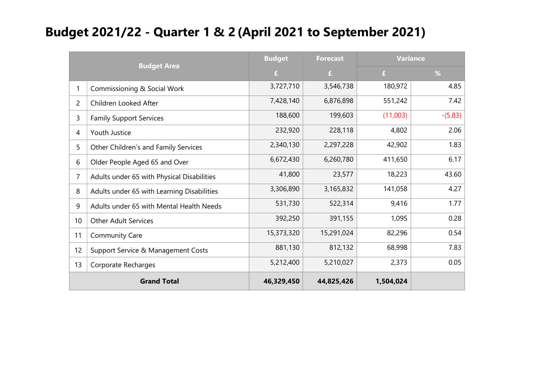### Budget 2021/22 - Quarter 1 & 2 (April 2021 to September 2021)

| <b>Budget Area</b> |                                            | <b>Budget</b> | <b>Forecast</b> | <b>Variance</b> |           |
|--------------------|--------------------------------------------|---------------|-----------------|-----------------|-----------|
|                    |                                            | £             | £               | £               | %         |
| 1                  | Commissioning & Social Work                | 3,727,710     | 3,546,738       | 180,972         | 4.85      |
| $\overline{c}$     | Children Looked After                      | 7,428,140     | 6,876,898       | 551,242         | 7.42      |
| 3                  | <b>Family Support Services</b>             | 188,600       | 199,603         | (11,003)        | $-(5.83)$ |
| 4                  | Youth Justice                              | 232,920       | 228,118         | 4,802           | 2.06      |
| 5                  | Other Children's and Family Services       | 2,340,130     | 2,297,228       | 42,902          | 1.83      |
| 6                  | Older People Aged 65 and Over              | 6,672,430     | 6,260,780       | 411,650         | 6.17      |
| 7                  | Adults under 65 with Physical Disabilities | 41,800        | 23,577          | 18,223          | 43.60     |
| 8                  | Adults under 65 with Learning Disabilities | 3,306,890     | 3,165,832       | 141,058         | 4.27      |
| 9                  | Adults under 65 with Mental Health Needs   | 531,730       | 522,314         | 9,416           | 1.77      |
| 10                 | <b>Other Adult Services</b>                | 392,250       | 391,155         | 1,095           | 0.28      |
| 11                 | <b>Community Care</b>                      | 15,373,320    | 15,291,024      | 82,296          | 0.54      |
| 12                 | Support Service & Management Costs         | 881,130       | 812,132         | 68,998          | 7.83      |
| 13                 | Corporate Recharges                        | 5,212,400     | 5,210,027       | 2,373           | 0.05      |
|                    | <b>Grand Total</b>                         | 46,329,450    | 44,825,426      | 1,504,024       |           |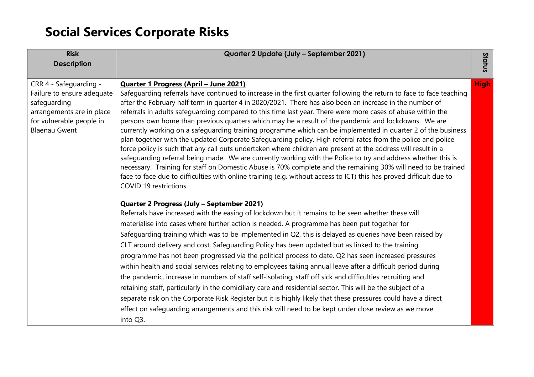# Social Services Corporate Risks

| <b>Risk</b>                | Quarter 2 Update (July - September 2021)                                                                             |             |
|----------------------------|----------------------------------------------------------------------------------------------------------------------|-------------|
| <b>Description</b>         |                                                                                                                      | Status      |
| CRR 4 - Safeguarding -     | Quarter 1 Progress (April - June 2021)                                                                               | <b>High</b> |
| Failure to ensure adequate | Safequarding referrals have continued to increase in the first quarter following the return to face to face teaching |             |
| safeguarding               | after the February half term in quarter 4 in 2020/2021. There has also been an increase in the number of             |             |
| arrangements are in place  | referrals in adults safeguarding compared to this time last year. There were more cases of abuse within the          |             |
| for vulnerable people in   | persons own home than previous quarters which may be a result of the pandemic and lockdowns. We are                  |             |
| <b>Blaenau Gwent</b>       | currently working on a safeguarding training programme which can be implemented in quarter 2 of the business         |             |
|                            | plan together with the updated Corporate Safeguarding policy. High referral rates from the police and police         |             |
|                            | force policy is such that any call outs undertaken where children are present at the address will result in a        |             |
|                            | safeguarding referral being made. We are currently working with the Police to try and address whether this is        |             |
|                            | necessary. Training for staff on Domestic Abuse is 70% complete and the remaining 30% will need to be trained        |             |
|                            | face to face due to difficulties with online training (e.g. without access to ICT) this has proved difficult due to  |             |
|                            | COVID 19 restrictions.                                                                                               |             |
|                            | <b>Quarter 2 Progress (July - September 2021)</b>                                                                    |             |
|                            | Referrals have increased with the easing of lockdown but it remains to be seen whether these will                    |             |
|                            | materialise into cases where further action is needed. A programme has been put together for                         |             |
|                            | Safeguarding training which was to be implemented in Q2, this is delayed as queries have been raised by              |             |
|                            | CLT around delivery and cost. Safeguarding Policy has been updated but as linked to the training                     |             |
|                            | programme has not been progressed via the political process to date. Q2 has seen increased pressures                 |             |
|                            | within health and social services relating to employees taking annual leave after a difficult period during          |             |
|                            | the pandemic, increase in numbers of staff self-isolating, staff off sick and difficulties recruiting and            |             |
|                            | retaining staff, particularly in the domiciliary care and residential sector. This will be the subject of a          |             |
|                            | separate risk on the Corporate Risk Register but it is highly likely that these pressures could have a direct        |             |
|                            | effect on safeguarding arrangements and this risk will need to be kept under close review as we move                 |             |
|                            | into Q3.                                                                                                             |             |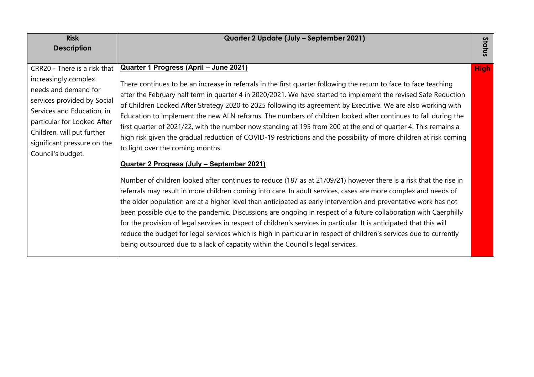| <b>Risk</b><br><b>Description</b>                                                                                                                                                                                                                          | Quarter 2 Update (July - September 2021)                                                                                                                                                                                                                                                                                                                                                                                                                                                                                                                                                                                                                                                                                                                                                                                                   | Status      |
|------------------------------------------------------------------------------------------------------------------------------------------------------------------------------------------------------------------------------------------------------------|--------------------------------------------------------------------------------------------------------------------------------------------------------------------------------------------------------------------------------------------------------------------------------------------------------------------------------------------------------------------------------------------------------------------------------------------------------------------------------------------------------------------------------------------------------------------------------------------------------------------------------------------------------------------------------------------------------------------------------------------------------------------------------------------------------------------------------------------|-------------|
| CRR20 - There is a risk that<br>increasingly complex<br>needs and demand for<br>services provided by Social<br>Services and Education, in<br>particular for Looked After<br>Children, will put further<br>significant pressure on the<br>Council's budget. | Quarter 1 Progress (April - June 2021)<br>There continues to be an increase in referrals in the first quarter following the return to face to face teaching<br>after the February half term in quarter 4 in 2020/2021. We have started to implement the revised Safe Reduction<br>of Children Looked After Strategy 2020 to 2025 following its agreement by Executive. We are also working with<br>Education to implement the new ALN reforms. The numbers of children looked after continues to fall during the<br>first quarter of 2021/22, with the number now standing at 195 from 200 at the end of quarter 4. This remains a<br>high risk given the gradual reduction of COVID-19 restrictions and the possibility of more children at risk coming<br>to light over the coming months.<br>Quarter 2 Progress (July - September 2021) | <b>High</b> |
|                                                                                                                                                                                                                                                            | Number of children looked after continues to reduce (187 as at 21/09/21) however there is a risk that the rise in<br>referrals may result in more children coming into care. In adult services, cases are more complex and needs of<br>the older population are at a higher level than anticipated as early intervention and preventative work has not<br>been possible due to the pandemic. Discussions are ongoing in respect of a future collaboration with Caerphilly<br>for the provision of legal services in respect of children's services in particular. It is anticipated that this will<br>reduce the budget for legal services which is high in particular in respect of children's services due to currently<br>being outsourced due to a lack of capacity within the Council's legal services.                               |             |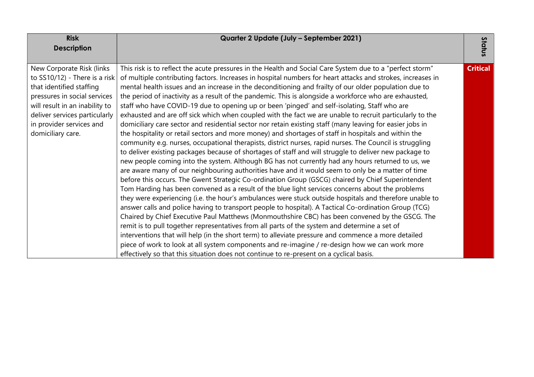| <b>Risk</b>                      | Quarter 2 Update (July - September 2021)                                                                    |                 |
|----------------------------------|-------------------------------------------------------------------------------------------------------------|-----------------|
| <b>Description</b>               |                                                                                                             | Status          |
|                                  |                                                                                                             |                 |
| New Corporate Risk (links        | This risk is to reflect the acute pressures in the Health and Social Care System due to a "perfect storm"   | <b>Critical</b> |
| to $SS10/12$ ) - There is a risk | of multiple contributing factors. Increases in hospital numbers for heart attacks and strokes, increases in |                 |
| that identified staffing         | mental health issues and an increase in the deconditioning and frailty of our older population due to       |                 |
| pressures in social services     | the period of inactivity as a result of the pandemic. This is alongside a workforce who are exhausted,      |                 |
| will result in an inability to   | staff who have COVID-19 due to opening up or been 'pinged' and self-isolating, Staff who are                |                 |
| deliver services particularly    | exhausted and are off sick which when coupled with the fact we are unable to recruit particularly to the    |                 |
| in provider services and         | domiciliary care sector and residential sector nor retain existing staff (many leaving for easier jobs in   |                 |
| domiciliary care.                | the hospitality or retail sectors and more money) and shortages of staff in hospitals and within the        |                 |
|                                  | community e.g. nurses, occupational therapists, district nurses, rapid nurses. The Council is struggling    |                 |
|                                  | to deliver existing packages because of shortages of staff and will struggle to deliver new package to      |                 |
|                                  | new people coming into the system. Although BG has not currently had any hours returned to us, we           |                 |
|                                  | are aware many of our neighbouring authorities have and it would seem to only be a matter of time           |                 |
|                                  | before this occurs. The Gwent Strategic Co-ordination Group (GSCG) chaired by Chief Superintendent          |                 |
|                                  | Tom Harding has been convened as a result of the blue light services concerns about the problems            |                 |
|                                  | they were experiencing (i.e. the hour's ambulances were stuck outside hospitals and therefore unable to     |                 |
|                                  | answer calls and police having to transport people to hospital). A Tactical Co-ordination Group (TCG)       |                 |
|                                  | Chaired by Chief Executive Paul Matthews (Monmouthshire CBC) has been convened by the GSCG. The             |                 |
|                                  | remit is to pull together representatives from all parts of the system and determine a set of               |                 |
|                                  | interventions that will help (in the short term) to alleviate pressure and commence a more detailed         |                 |
|                                  | piece of work to look at all system components and re-imagine / re-design how we can work more              |                 |
|                                  | effectively so that this situation does not continue to re-present on a cyclical basis.                     |                 |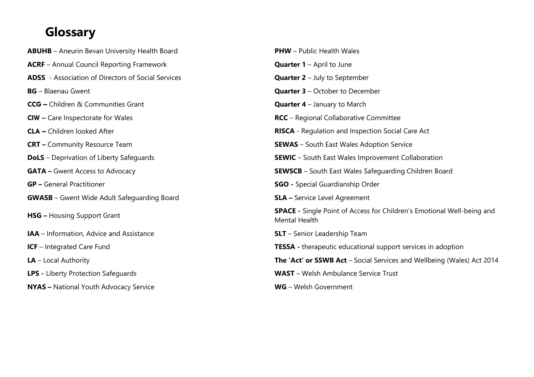### Glossary

ABUHB – Aneurin Bevan University Health Board ACRF – Annual Council Reporting Framework ADSS - Association of Directors of Social Services  $BG - Blaenau Gwent$ CCG – Children & Communities Grant **CIW** – Care Inspectorate for Wales **CLA –** Children looked After **CRT** – Community Resource Team **DoLS** – Deprivation of Liberty Safeguards **GATA – Gwent Access to Advocacy GP** – General Practitioner **GWASB** – Gwent Wide Adult Safeguarding Board HSG - Housing Support Grant IAA – Information, Advice and Assistance  $ICF - Integrated Care Fund$ LA – Local Authority LPS - Liberty Protection Safeguards NYAS – National Youth Advocacy Service

| <b>PHW</b> - Public Health Wales                                                                      |
|-------------------------------------------------------------------------------------------------------|
| <b>Quarter 1</b> – April to June                                                                      |
| <b>Quarter 2</b> – July to September                                                                  |
| <b>Quarter 3</b> - October to December                                                                |
| <b>Quarter 4</b> – January to March                                                                   |
| <b>RCC</b> – Regional Collaborative Committee                                                         |
| <b>RISCA</b> - Regulation and Inspection Social Care Act                                              |
| <b>SEWAS</b> - South East Wales Adoption Service                                                      |
| <b>SEWIC</b> – South East Wales Improvement Collaboration                                             |
| <b>SEWSCB</b> - South East Wales Safeguarding Children Board                                          |
| <b>SGO</b> - Special Guardianship Order                                                               |
| <b>SLA</b> - Service Level Agreement                                                                  |
| <b>SPACE</b> - Single Point of Access for Children's Emotional Well-being and<br><b>Mental Health</b> |
| <b>SLT</b> – Senior Leadership Team                                                                   |
| <b>TESSA</b> - therapeutic educational support services in adoption                                   |
| <b>The 'Act' or SSWB Act</b> – Social Services and Wellbeing (Wales) Act 2014                         |
| <b>WAST</b> – Welsh Ambulance Service Trust                                                           |
| WG - Welsh Government                                                                                 |